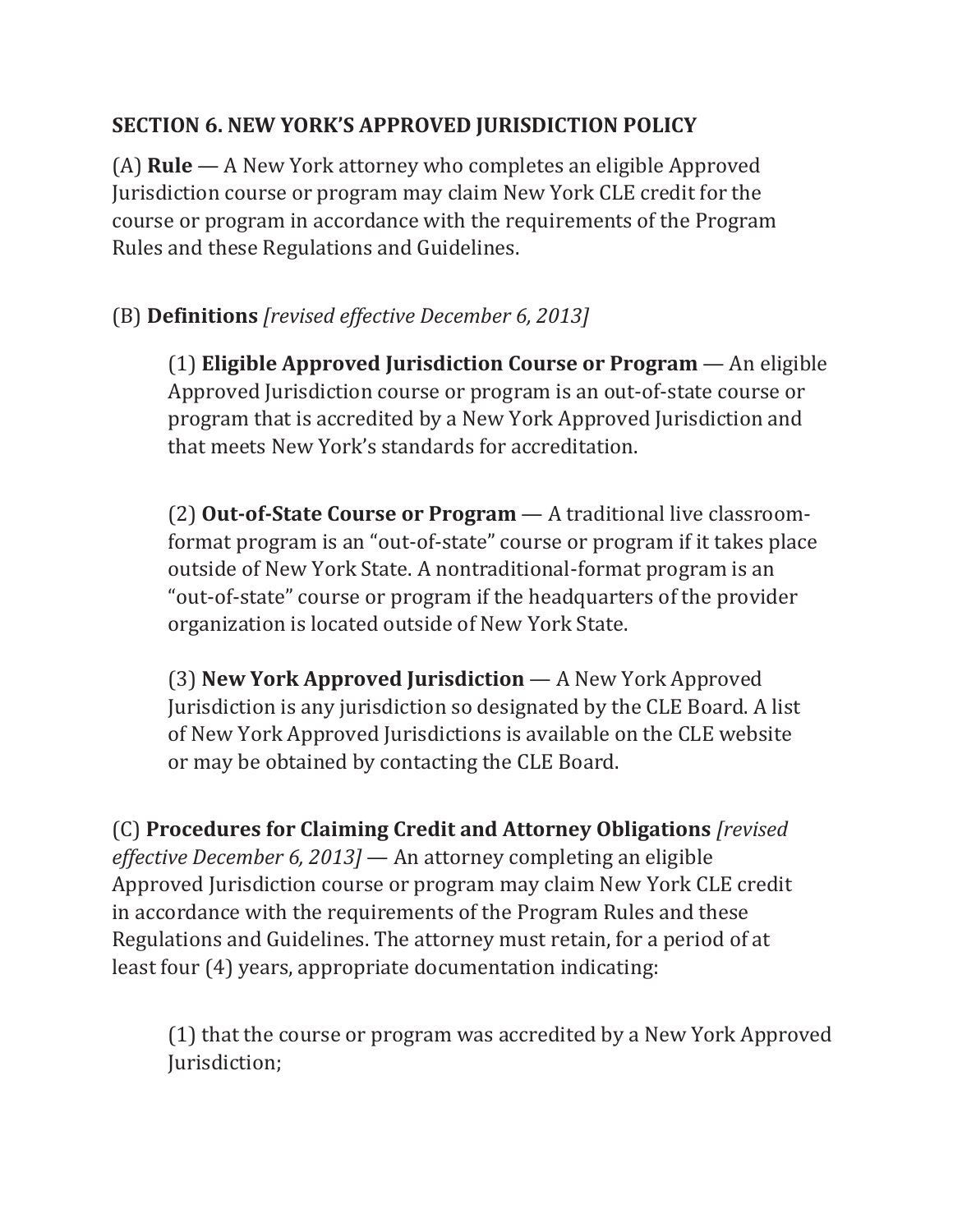## **SECTION 6. NEW YORK'S APPROVED JURISDICTION POLICY**

(A) **Rule** — A New York attorney who completes an eligible Approved Jurisdiction course or program may claim New York CLE credit for the course or program in accordance with the requirements of the Program Rules and these Regulations and Guidelines.

## (B) **Definitions** *[revised effective December 6, 2013]*

(1) **Eligible Approved Jurisdiction Course or Program** — An eligible Approved Jurisdiction course or program is an out-of-state course or program that is accredited by a New York Approved Jurisdiction and that meets New York's standards for accreditation.

(2) **Out-of-State Course or Program** — A traditional live classroomformat program is an "out-of-state" course or program if it takes place outside of New York State. A nontraditional-format program is an "out-of-state" course or program if the headquarters of the provider organization is located outside of New York State.

(3) **New York Approved Jurisdiction** — A New York Approved Jurisdiction is any jurisdiction so designated by the CLE Board. A list of New York Approved Jurisdictions is available on the CLE website or may be obtained by contacting the CLE Board.

(C) **Procedures for Claiming Credit and Attorney Obligations** *[revised effective December 6, 2013]* — An attorney completing an eligible Approved Jurisdiction course or program may claim New York CLE credit in accordance with the requirements of the Program Rules and these Regulations and Guidelines. The attorney must retain, for a period of at least four (4) years, appropriate documentation indicating:

(1) that the course or program was accredited by a New York Approved Jurisdiction;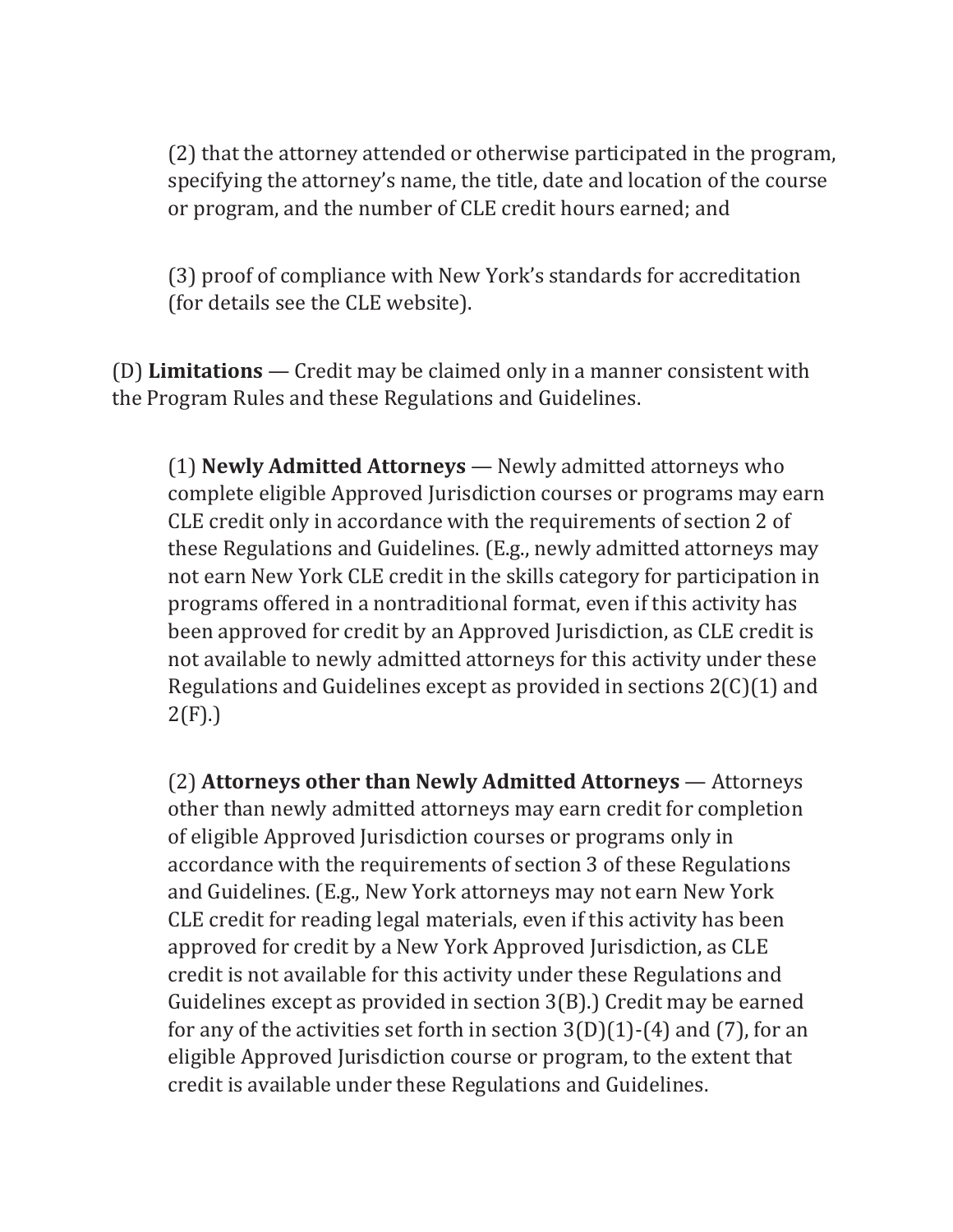(2) that the attorney attended or otherwise participated in the program, specifying the attorney's name, the title, date and location of the course or program, and the number of CLE credit hours earned; and

(3) proof of compliance with New York's standards for accreditation (for details see the CLE website).

(D) **Limitations** — Credit may be claimed only in a manner consistent with the Program Rules and these Regulations and Guidelines.

(1) **Newly Admitted Attorneys** — Newly admitted attorneys who complete eligible Approved Jurisdiction courses or programs may earn CLE credit only in accordance with the requirements of section 2 of these Regulations and Guidelines. (E.g., newly admitted attorneys may not earn New York CLE credit in the skills category for participation in programs offered in a nontraditional format, even if this activity has been approved for credit by an Approved Jurisdiction, as CLE credit is not available to newly admitted attorneys for this activity under these Regulations and Guidelines except as provided in sections 2(C)(1) and 2(F).)

(2) **Attorneys other than Newly Admitted Attorneys** — Attorneys other than newly admitted attorneys may earn credit for completion of eligible Approved Jurisdiction courses or programs only in accordance with the requirements of section 3 of these Regulations and Guidelines. (E.g., New York attorneys may not earn New York CLE credit for reading legal materials, even if this activity has been approved for credit by a New York Approved Jurisdiction, as CLE credit is not available for this activity under these Regulations and Guidelines except as provided in section 3(B).) Credit may be earned for any of the activities set forth in section  $3(D)(1)-(4)$  and  $(7)$ , for an eligible Approved Jurisdiction course or program, to the extent that credit is available under these Regulations and Guidelines.